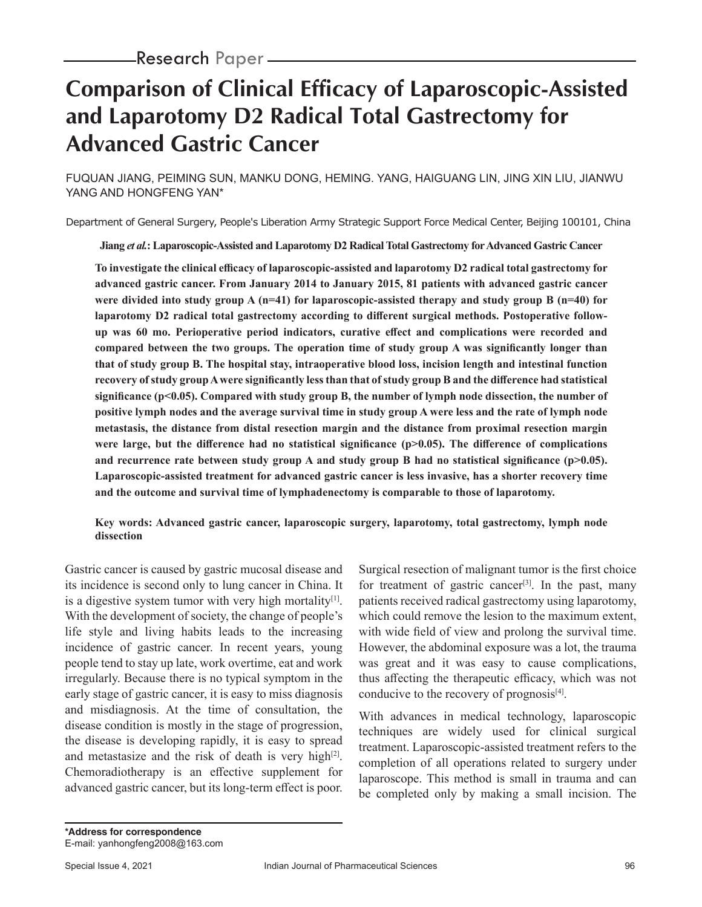# **Comparison of Clinical Efficacy of Laparoscopic-Assisted and Laparotomy D2 Radical Total Gastrectomy for Advanced Gastric Cancer**

FUQUAN JIANG, PEIMING SUN, MANKU DONG, HEMING. YANG, HAIGUANG LIN, JING XIN LIU, JIANWU YANG AND HONGFENG YAN\*

Department of General Surgery, People's Liberation Army Strategic Support Force Medical Center, Beijing 100101, China

**Jiang** *et al.***: Laparoscopic-Assisted and Laparotomy D2 Radical Total Gastrectomy for Advanced Gastric Cancer**

**To investigate the clinical efficacy of laparoscopic-assisted and laparotomy D2 radical total gastrectomy for advanced gastric cancer. From January 2014 to January 2015, 81 patients with advanced gastric cancer were divided into study group A (n=41) for laparoscopic-assisted therapy and study group B (n=40) for laparotomy D2 radical total gastrectomy according to different surgical methods. Postoperative followup was 60 mo. Perioperative period indicators, curative effect and complications were recorded and compared between the two groups. The operation time of study group A was significantly longer than that of study group B. The hospital stay, intraoperative blood loss, incision length and intestinal function recovery of study group A were significantly less than that of study group B and the difference had statistical significance (p<0.05). Compared with study group B, the number of lymph node dissection, the number of positive lymph nodes and the average survival time in study group A were less and the rate of lymph node metastasis, the distance from distal resection margin and the distance from proximal resection margin**  were large, but the difference had no statistical significance (p>0.05). The difference of complications and recurrence rate between study group A and study group B had no statistical significance (p>0.05). **Laparoscopic-assisted treatment for advanced gastric cancer is less invasive, has a shorter recovery time and the outcome and survival time of lymphadenectomy is comparable to those of laparotomy.**

**Key words: Advanced gastric cancer, laparoscopic surgery, laparotomy, total gastrectomy, lymph node dissection**

Gastric cancer is caused by gastric mucosal disease and its incidence is second only to lung cancer in China. It is a digestive system tumor with very high mortality $[1]$ . With the development of society, the change of people's life style and living habits leads to the increasing incidence of gastric cancer. In recent years, young people tend to stay up late, work overtime, eat and work irregularly. Because there is no typical symptom in the early stage of gastric cancer, it is easy to miss diagnosis and misdiagnosis. At the time of consultation, the disease condition is mostly in the stage of progression, the disease is developing rapidly, it is easy to spread and metastasize and the risk of death is very high $[2]$ . Chemoradiotherapy is an effective supplement for advanced gastric cancer, but its long-term effect is poor. Surgical resection of malignant tumor is the first choice for treatment of gastric cancer<sup>[3]</sup>. In the past, many patients received radical gastrectomy using laparotomy, which could remove the lesion to the maximum extent, with wide field of view and prolong the survival time. However, the abdominal exposure was a lot, the trauma was great and it was easy to cause complications, thus affecting the therapeutic efficacy, which was not conducive to the recovery of prognosis $[4]$ .

With advances in medical technology, laparoscopic techniques are widely used for clinical surgical treatment. Laparoscopic-assisted treatment refers to the completion of all operations related to surgery under laparoscope. This method is small in trauma and can be completed only by making a small incision. The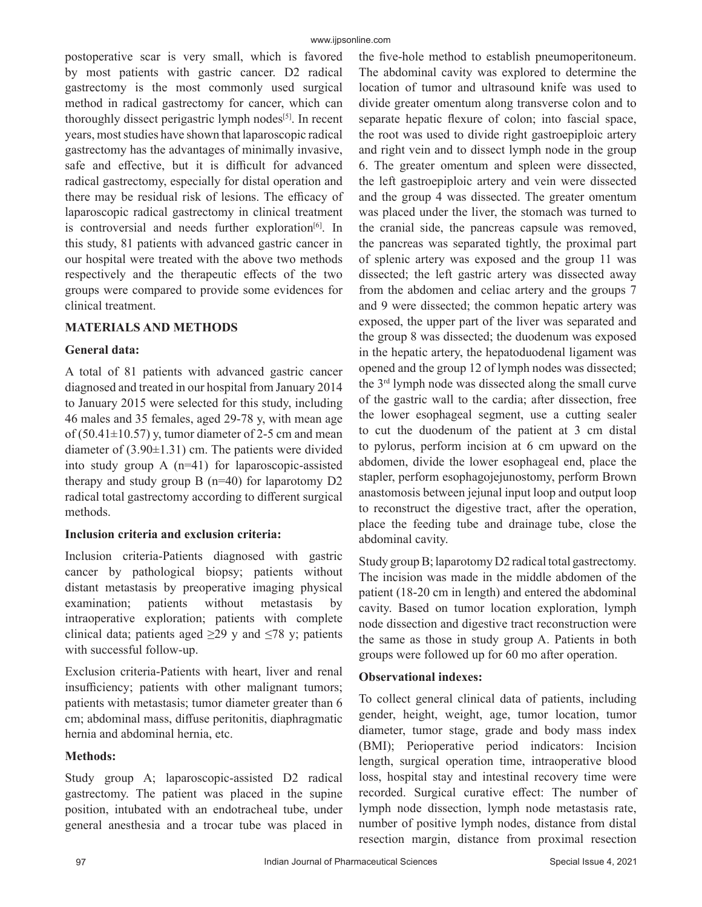postoperative scar is very small, which is favored by most patients with gastric cancer. D2 radical gastrectomy is the most commonly used surgical method in radical gastrectomy for cancer, which can thoroughly dissect perigastric lymph nodes<sup>[5]</sup>. In recent years, most studies have shown that laparoscopic radical gastrectomy has the advantages of minimally invasive, safe and effective, but it is difficult for advanced radical gastrectomy, especially for distal operation and there may be residual risk of lesions. The efficacy of laparoscopic radical gastrectomy in clinical treatment is controversial and needs further exploration<sup>[6]</sup>. In this study, 81 patients with advanced gastric cancer in our hospital were treated with the above two methods respectively and the therapeutic effects of the two groups were compared to provide some evidences for clinical treatment.

## **MATERIALS AND METHODS**

## **General data:**

A total of 81 patients with advanced gastric cancer diagnosed and treated in our hospital from January 2014 to January 2015 were selected for this study, including 46 males and 35 females, aged 29-78 y, with mean age of (50.41 $\pm$ 10.57) y, tumor diameter of 2-5 cm and mean diameter of  $(3.90\pm1.31)$  cm. The patients were divided into study group A (n=41) for laparoscopic-assisted therapy and study group  $B(n=40)$  for laparotomy  $D2$ radical total gastrectomy according to different surgical methods.

## **Inclusion criteria and exclusion criteria:**

Inclusion criteria-Patients diagnosed with gastric cancer by pathological biopsy; patients without distant metastasis by preoperative imaging physical examination; patients without metastasis by intraoperative exploration; patients with complete clinical data; patients aged  $\geq$ 29 y and  $\leq$ 78 y; patients with successful follow-up.

Exclusion criteria-Patients with heart, liver and renal insufficiency; patients with other malignant tumors; patients with metastasis; tumor diameter greater than 6 cm; abdominal mass, diffuse peritonitis, diaphragmatic hernia and abdominal hernia, etc.

## **Methods:**

Study group A; laparoscopic-assisted D2 radical gastrectomy. The patient was placed in the supine position, intubated with an endotracheal tube, under general anesthesia and a trocar tube was placed in the five-hole method to establish pneumoperitoneum. The abdominal cavity was explored to determine the location of tumor and ultrasound knife was used to divide greater omentum along transverse colon and to separate hepatic flexure of colon; into fascial space, the root was used to divide right gastroepiploic artery and right vein and to dissect lymph node in the group 6. The greater omentum and spleen were dissected, the left gastroepiploic artery and vein were dissected and the group 4 was dissected. The greater omentum was placed under the liver, the stomach was turned to the cranial side, the pancreas capsule was removed, the pancreas was separated tightly, the proximal part of splenic artery was exposed and the group 11 was dissected; the left gastric artery was dissected away from the abdomen and celiac artery and the groups 7 and 9 were dissected; the common hepatic artery was exposed, the upper part of the liver was separated and the group 8 was dissected; the duodenum was exposed in the hepatic artery, the hepatoduodenal ligament was opened and the group 12 of lymph nodes was dissected; the 3rd lymph node was dissected along the small curve of the gastric wall to the cardia; after dissection, free the lower esophageal segment, use a cutting sealer to cut the duodenum of the patient at 3 cm distal to pylorus, perform incision at 6 cm upward on the abdomen, divide the lower esophageal end, place the stapler, perform esophagojejunostomy, perform Brown anastomosis between jejunal input loop and output loop to reconstruct the digestive tract, after the operation, place the feeding tube and drainage tube, close the abdominal cavity.

Study group B; laparotomy D2 radical total gastrectomy. The incision was made in the middle abdomen of the patient (18-20 cm in length) and entered the abdominal cavity. Based on tumor location exploration, lymph node dissection and digestive tract reconstruction were the same as those in study group A. Patients in both groups were followed up for 60 mo after operation.

## **Observational indexes:**

To collect general clinical data of patients, including gender, height, weight, age, tumor location, tumor diameter, tumor stage, grade and body mass index (BMI); Perioperative period indicators: Incision length, surgical operation time, intraoperative blood loss, hospital stay and intestinal recovery time were recorded. Surgical curative effect: The number of lymph node dissection, lymph node metastasis rate, number of positive lymph nodes, distance from distal resection margin, distance from proximal resection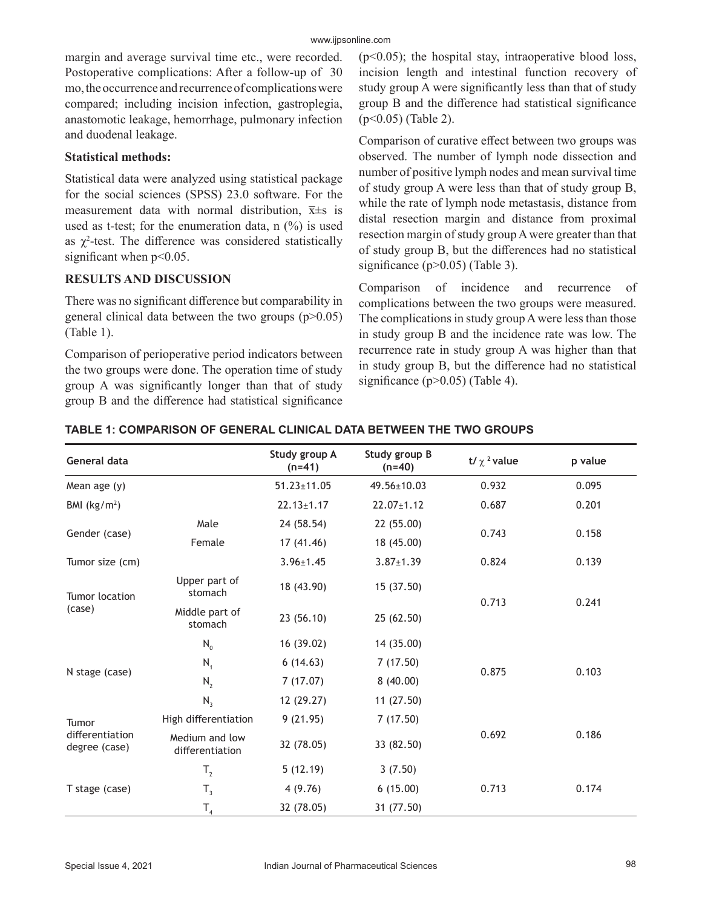margin and average survival time etc., were recorded. Postoperative complications: After a follow-up of 30 mo, the occurrence and recurrence of complications were compared; including incision infection, gastroplegia, anastomotic leakage, hemorrhage, pulmonary infection and duodenal leakage.

## **Statistical methods:**

Statistical data were analyzed using statistical package for the social sciences (SPSS) 23.0 software. For the measurement data with normal distribution,  $\bar{x} \pm s$  is used as t-test; for the enumeration data,  $n$  (%) is used as  $\chi^2$ -test. The difference was considered statistically significant when  $p<0.05$ .

## **RESULTS AND DISCUSSION**

There was no significant difference but comparability in general clinical data between the two groups  $(p>0.05)$ (Table 1).

Comparison of perioperative period indicators between the two groups were done. The operation time of study group A was significantly longer than that of study group B and the difference had statistical significance  $(p<0.05)$ ; the hospital stay, intraoperative blood loss, incision length and intestinal function recovery of study group A were significantly less than that of study group B and the difference had statistical significance (p<0.05) (Table 2).

Comparison of curative effect between two groups was observed. The number of lymph node dissection and number of positive lymph nodes and mean survival time of study group A were less than that of study group B, while the rate of lymph node metastasis, distance from distal resection margin and distance from proximal resection margin of study group A were greater than that of study group B, but the differences had no statistical significance (p>0.05) (Table 3).

Comparison of incidence and recurrence of complications between the two groups were measured. The complications in study group A were less than those in study group B and the incidence rate was low. The recurrence rate in study group A was higher than that in study group B, but the difference had no statistical significance (p>0.05) (Table 4).

| General data                              |                                   | Study group A<br>$(n=41)$ | Study group B<br>$(n=40)$ | t/ $\chi$ <sup>2</sup> value | p value |
|-------------------------------------------|-----------------------------------|---------------------------|---------------------------|------------------------------|---------|
| Mean age $(y)$                            |                                   | $51.23 \pm 11.05$         | $49.56 \pm 10.03$         | 0.932                        | 0.095   |
| BMI $(kg/m2)$                             |                                   | $22.13 \pm 1.17$          | $22.07 \pm 1.12$          | 0.687                        | 0.201   |
| Gender (case)                             | Male                              | 24 (58.54)                | 22 (55.00)                |                              |         |
|                                           | Female                            | 17(41.46)                 | 18 (45.00)                | 0.743                        | 0.158   |
| Tumor size (cm)                           |                                   | $3.96 \pm 1.45$           | $3.87 \pm 1.39$           | 0.824                        | 0.139   |
| Tumor location<br>(case)                  | Upper part of<br>stomach          | 18 (43.90)                | 15(37.50)                 | 0.713                        | 0.241   |
|                                           | Middle part of<br>stomach         | 23(56.10)                 | 25 (62.50)                |                              |         |
| N stage (case)                            | $N_0$                             | 16 (39.02)                | 14 (35.00)                |                              |         |
|                                           | $N_{1}$                           | 6(14.63)                  | 7(17.50)                  | 0.875                        | 0.103   |
|                                           | $N_{2}$                           | 7(17.07)                  | 8(40.00)                  |                              |         |
|                                           | $N_3$                             | 12 (29.27)                | 11(27.50)                 |                              |         |
| Tumor<br>differentiation<br>degree (case) | High differentiation              | 9(21.95)                  | 7(17.50)                  |                              |         |
|                                           | Medium and low<br>differentiation | 32 (78.05)                | 33 (82.50)                | 0.692                        | 0.186   |
| T stage (case)                            | $T_{2}$                           | 5(12.19)                  | 3(7.50)                   |                              |         |
|                                           | $T_3$                             | 4(9.76)                   | 6(15.00)                  | 0.713                        | 0.174   |
|                                           | $\mathsf{T}_4$                    | 32 (78.05)                | 31 (77.50)                |                              |         |

#### **TABLE 1: COMPARISON OF GENERAL CLINICAL DATA BETWEEN THE TWO GROUPS**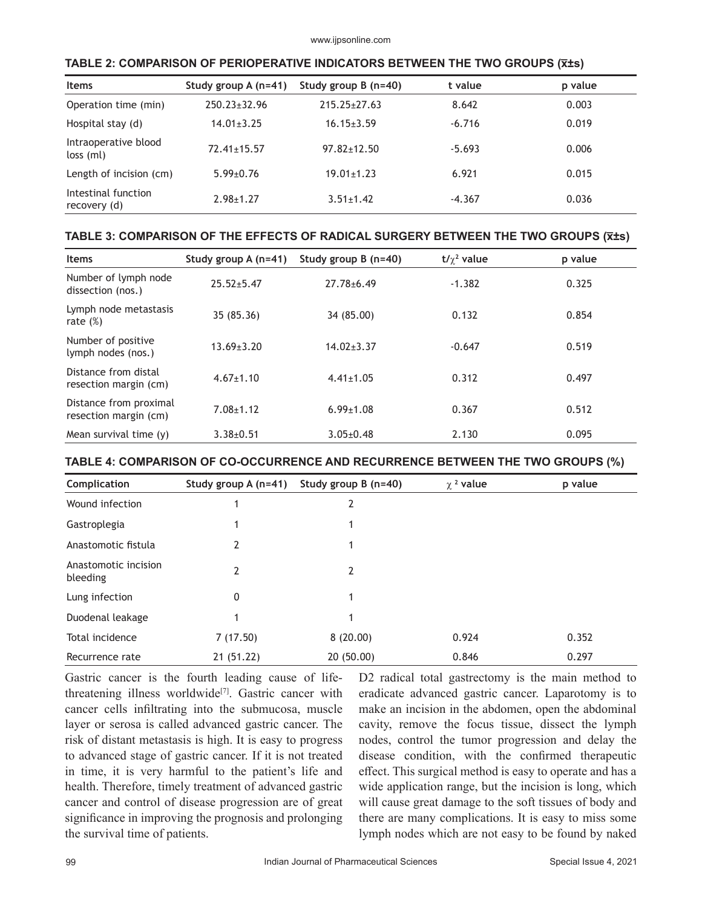| <b>Items</b>                        | Study group $A(n=41)$ | Study group $B(n=40)$ | t value  | p value |
|-------------------------------------|-----------------------|-----------------------|----------|---------|
| Operation time (min)                | $250.23 \pm 32.96$    | $215.25 \pm 27.63$    | 8.642    | 0.003   |
| Hospital stay (d)                   | $14.01 \pm 3.25$      | $16.15 \pm 3.59$      | $-6.716$ | 0.019   |
| Intraoperative blood<br>$loss$ (ml) | $72.41 \pm 15.57$     | $97.82 \pm 12.50$     | $-5.693$ | 0.006   |
| Length of incision (cm)             | $5.99 \pm 0.76$       | $19.01 \pm 1.23$      | 6.921    | 0.015   |
| Intestinal function<br>recovery (d) | $2.98 \pm 1.27$       | $3.51 \pm 1.42$       | $-4.367$ | 0.036   |

#### **TABLE 2: COMPARISON OF PERIOPERATIVE INDICATORS BETWEEN THE TWO GROUPS (x̅±s)**

## **TABLE 3: COMPARISON OF THE EFFECTS OF RADICAL SURGERY BETWEEN THE TWO GROUPS (x̅±s)**

| <b>Items</b>                                    | Study group $A(n=41)$ | Study group $B(n=40)$ | $t/\gamma^2$ value | p value |
|-------------------------------------------------|-----------------------|-----------------------|--------------------|---------|
| Number of lymph node<br>dissection (nos.)       | $25.52 + 5.47$        | $27.78 + 6.49$        | $-1.382$           | 0.325   |
| Lymph node metastasis<br>rate $(\%)$            | 35 (85.36)            | 34 (85.00)            | 0.132              | 0.854   |
| Number of positive<br>lymph nodes (nos.)        | $13.69 \pm 3.20$      | $14.02 \pm 3.37$      | $-0.647$           | 0.519   |
| Distance from distal<br>resection margin (cm)   | $4.67 \pm 1.10$       | $4.41 \pm 1.05$       | 0.312              | 0.497   |
| Distance from proximal<br>resection margin (cm) | $7.08 + 1.12$         | $6.99 \pm 1.08$       | 0.367              | 0.512   |
| Mean survival time $(v)$                        | $3.38 + 0.51$         | $3.05 \pm 0.48$       | 2.130              | 0.095   |

#### **TABLE 4: COMPARISON OF CO-OCCURRENCE AND RECURRENCE BETWEEN THE TWO GROUPS (%)**

| Complication                     | Study group A (n=41) | Study group B (n=40) | $\chi$ <sup>2</sup> value | p value |
|----------------------------------|----------------------|----------------------|---------------------------|---------|
| Wound infection                  |                      | 2                    |                           |         |
| Gastroplegia                     | 1                    |                      |                           |         |
| Anastomotic fistula              | 2                    |                      |                           |         |
| Anastomotic incision<br>bleeding | 2                    | 2                    |                           |         |
| Lung infection                   | 0                    |                      |                           |         |
| Duodenal leakage                 |                      |                      |                           |         |
| Total incidence                  | 7(17.50)             | 8(20.00)             | 0.924                     | 0.352   |
| Recurrence rate                  | 21(51.22)            | 20 (50.00)           | 0.846                     | 0.297   |

Gastric cancer is the fourth leading cause of lifethreatening illness worldwide<sup>[7]</sup>. Gastric cancer with cancer cells infiltrating into the submucosa, muscle layer or serosa is called advanced gastric cancer. The risk of distant metastasis is high. It is easy to progress to advanced stage of gastric cancer. If it is not treated in time, it is very harmful to the patient's life and health. Therefore, timely treatment of advanced gastric cancer and control of disease progression are of great significance in improving the prognosis and prolonging the survival time of patients.

D2 radical total gastrectomy is the main method to eradicate advanced gastric cancer. Laparotomy is to make an incision in the abdomen, open the abdominal cavity, remove the focus tissue, dissect the lymph nodes, control the tumor progression and delay the disease condition, with the confirmed therapeutic effect. This surgical method is easy to operate and has a wide application range, but the incision is long, which will cause great damage to the soft tissues of body and there are many complications. It is easy to miss some lymph nodes which are not easy to be found by naked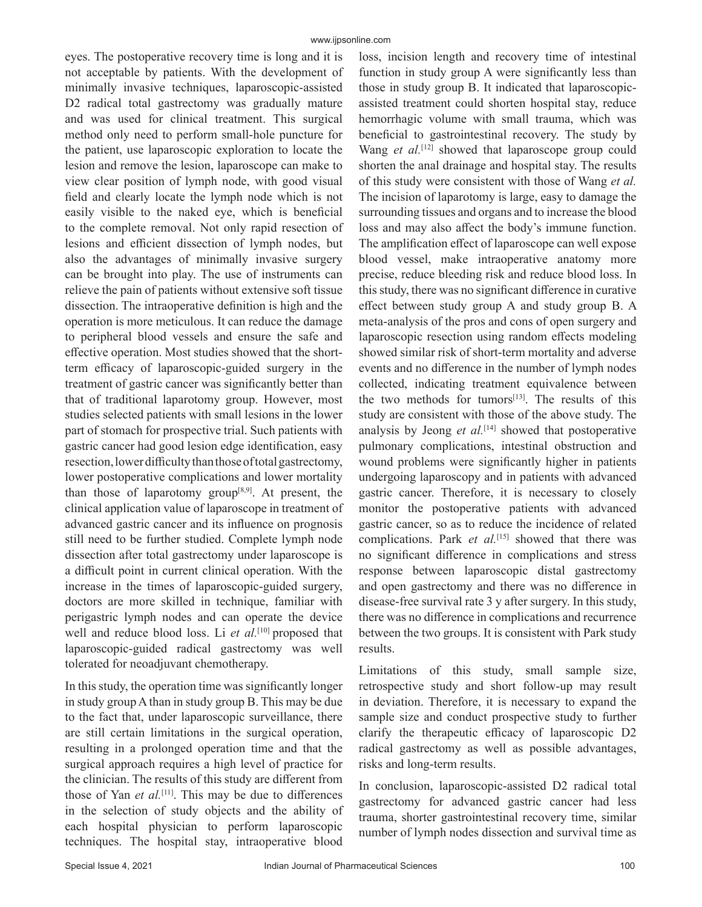eyes. The postoperative recovery time is long and it is not acceptable by patients. With the development of minimally invasive techniques, laparoscopic-assisted D2 radical total gastrectomy was gradually mature and was used for clinical treatment. This surgical method only need to perform small-hole puncture for the patient, use laparoscopic exploration to locate the lesion and remove the lesion, laparoscope can make to view clear position of lymph node, with good visual field and clearly locate the lymph node which is not easily visible to the naked eye, which is beneficial to the complete removal. Not only rapid resection of lesions and efficient dissection of lymph nodes, but also the advantages of minimally invasive surgery can be brought into play. The use of instruments can relieve the pain of patients without extensive soft tissue dissection. The intraoperative definition is high and the operation is more meticulous. It can reduce the damage to peripheral blood vessels and ensure the safe and effective operation. Most studies showed that the shortterm efficacy of laparoscopic-guided surgery in the treatment of gastric cancer was significantly better than that of traditional laparotomy group. However, most studies selected patients with small lesions in the lower part of stomach for prospective trial. Such patients with gastric cancer had good lesion edge identification, easy resection, lower difficulty than those of total gastrectomy, lower postoperative complications and lower mortality than those of laparotomy group $[8,9]$ . At present, the clinical application value of laparoscope in treatment of advanced gastric cancer and its influence on prognosis still need to be further studied. Complete lymph node dissection after total gastrectomy under laparoscope is a difficult point in current clinical operation. With the increase in the times of laparoscopic-guided surgery, doctors are more skilled in technique, familiar with perigastric lymph nodes and can operate the device well and reduce blood loss. Li *et al.*<sup>[10]</sup> proposed that laparoscopic-guided radical gastrectomy was well tolerated for neoadjuvant chemotherapy.

In this study, the operation time was significantly longer in study group A than in study group B. This may be due to the fact that, under laparoscopic surveillance, there are still certain limitations in the surgical operation, resulting in a prolonged operation time and that the surgical approach requires a high level of practice for the clinician. The results of this study are different from those of Yan *et al.*[11]. This may be due to differences in the selection of study objects and the ability of each hospital physician to perform laparoscopic techniques. The hospital stay, intraoperative blood loss, incision length and recovery time of intestinal function in study group A were significantly less than those in study group B. It indicated that laparoscopicassisted treatment could shorten hospital stay, reduce hemorrhagic volume with small trauma, which was beneficial to gastrointestinal recovery. The study by Wang *et al.*<sup>[12]</sup> showed that laparoscope group could shorten the anal drainage and hospital stay. The results of this study were consistent with those of Wang *et al.* The incision of laparotomy is large, easy to damage the surrounding tissues and organs and to increase the blood loss and may also affect the body's immune function. The amplification effect of laparoscope can well expose blood vessel, make intraoperative anatomy more precise, reduce bleeding risk and reduce blood loss. In this study, there was no significant difference in curative effect between study group A and study group B. A meta-analysis of the pros and cons of open surgery and laparoscopic resection using random effects modeling showed similar risk of short-term mortality and adverse events and no difference in the number of lymph nodes collected, indicating treatment equivalence between the two methods for tumors<sup>[13]</sup>. The results of this study are consistent with those of the above study. The analysis by Jeong *et al.*<sup>[14]</sup> showed that postoperative pulmonary complications, intestinal obstruction and wound problems were significantly higher in patients undergoing laparoscopy and in patients with advanced gastric cancer. Therefore, it is necessary to closely monitor the postoperative patients with advanced gastric cancer, so as to reduce the incidence of related complications. Park *et al.*<sup>[15]</sup> showed that there was no significant difference in complications and stress response between laparoscopic distal gastrectomy and open gastrectomy and there was no difference in disease-free survival rate 3 y after surgery. In this study, there was no difference in complications and recurrence between the two groups. It is consistent with Park study results.

Limitations of this study, small sample size, retrospective study and short follow-up may result in deviation. Therefore, it is necessary to expand the sample size and conduct prospective study to further clarify the therapeutic efficacy of laparoscopic D2 radical gastrectomy as well as possible advantages, risks and long-term results.

In conclusion, laparoscopic-assisted D2 radical total gastrectomy for advanced gastric cancer had less trauma, shorter gastrointestinal recovery time, similar number of lymph nodes dissection and survival time as